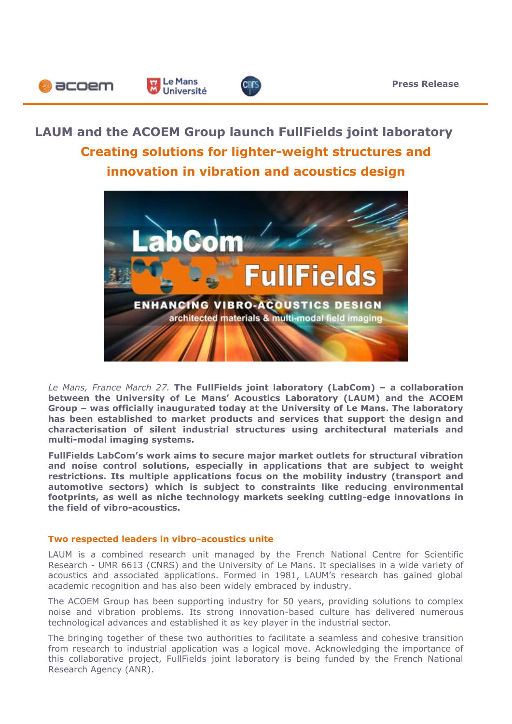# **LAUM and the ACOEM Group launch FullFields joint laboratory Creating solutions for lighter-weight structures and innovation in vibration and acoustics design**

Le Mans

Université

**D** acoem



*Le Mans, France March 27.* **The FullFields joint laboratory (LabCom) – a collaboration between the University of Le Mans' Acoustics Laboratory (LAUM) and the ACOEM Group – was officially inaugurated today at the University of Le Mans. The laboratory has been established to market products and services that support the design and characterisation of silent industrial structures using architectural materials and multi-modal imaging systems.** 

**FullFields LabCom's work aims to secure major market outlets for structural vibration and noise control solutions, especially in applications that are subject to weight restrictions. Its multiple applications focus on the mobility industry (transport and automotive sectors) which is subject to constraints like reducing environmental footprints, as well as niche technology markets seeking cutting-edge innovations in the field of vibro-acoustics.**

### **Two respected leaders in vibro-acoustics unite**

LAUM is a combined research unit managed by the French National Centre for Scientific Research - UMR 6613 (CNRS) and the University of Le Mans. It specialises in a wide variety of acoustics and associated applications. Formed in 1981, LAUM's research has gained global academic recognition and has also been widely embraced by industry.

The ACOEM Group has been supporting industry for 50 years, providing solutions to complex noise and vibration problems. Its strong innovation-based culture has delivered numerous technological advances and established it as key player in the industrial sector.

The bringing together of these two authorities to facilitate a seamless and cohesive transition from research to industrial application was a logical move. Acknowledging the importance of this collaborative project, FullFields joint laboratory is being funded by the French National Research Agency (ANR).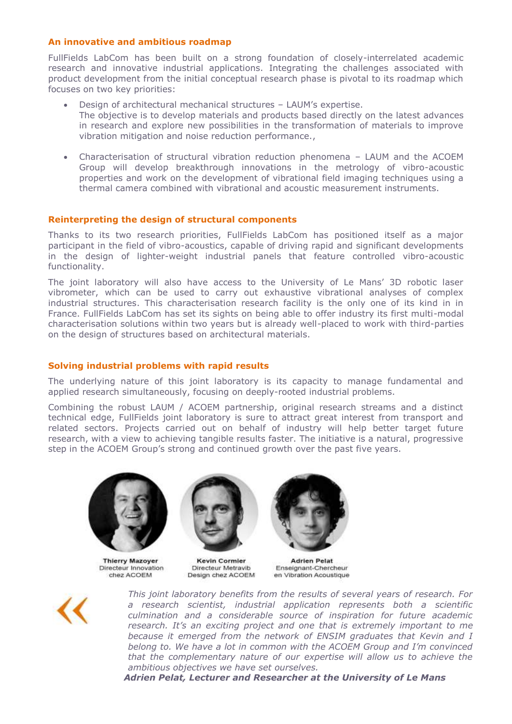# **An innovative and ambitious roadmap**

FullFields LabCom has been built on a strong foundation of closely-interrelated academic research and innovative industrial applications. Integrating the challenges associated with product development from the initial conceptual research phase is pivotal to its roadmap which focuses on two key priorities:

- Design of architectural mechanical structures LAUM's expertise. The objective is to develop materials and products based directly on the latest advances in research and explore new possibilities in the transformation of materials to improve vibration mitigation and noise reduction performance.,
- Characterisation of structural vibration reduction phenomena LAUM and the ACOEM Group will develop breakthrough innovations in the metrology of vibro-acoustic properties and work on the development of vibrational field imaging techniques using a thermal camera combined with vibrational and acoustic measurement instruments.

## **Reinterpreting the design of structural components**

Thanks to its two research priorities, FullFields LabCom has positioned itself as a major participant in the field of vibro-acoustics, capable of driving rapid and significant developments in the design of lighter-weight industrial panels that feature controlled vibro-acoustic functionality.

The joint laboratory will also have access to the University of Le Mans' 3D robotic laser vibrometer, which can be used to carry out exhaustive vibrational analyses of complex industrial structures. This characterisation research facility is the only one of its kind in in France. FullFields LabCom has set its sights on being able to offer industry its first multi-modal characterisation solutions within two years but is already well-placed to work with third-parties on the design of structures based on architectural materials.

## **Solving industrial problems with rapid results**

The underlying nature of this joint laboratory is its capacity to manage fundamental and applied research simultaneously, focusing on deeply-rooted industrial problems.

Combining the robust LAUM / ACOEM partnership, original research streams and a distinct technical edge, FullFields joint laboratory is sure to attract great interest from transport and related sectors. Projects carried out on behalf of industry will help better target future research, with a view to achieving tangible results faster. The initiative is a natural, progressive step in the ACOEM Group's strong and continued growth over the past five years.



**Thierry Mazover** Directeur Innovation chez ACOEM



**Kevin Cormier** Directeur Metravib Design chez ACOEM

**Adrien Pelat** Enseignant-Chercheur en Vibration Acoustique



*This joint laboratory benefits from the results of several years of research. For a research scientist, industrial application represents both a scientific culmination and a considerable source of inspiration for future academic research. It's an exciting project and one that is extremely important to me because it emerged from the network of ENSIM graduates that Kevin and I belong to. We have a lot in common with the ACOEM Group and I'm convinced that the complementary nature of our expertise will allow us to achieve the ambitious objectives we have set ourselves.*

*Adrien Pelat, Lecturer and Researcher at the University of Le Mans*